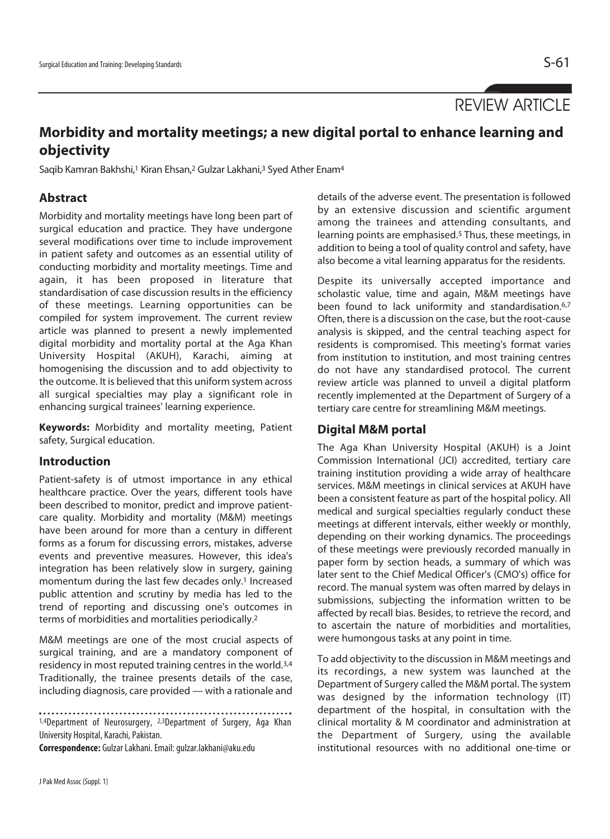REVIEW ARTICLE

# **Morbidity and mortality meetings; a new digital portal to enhance learning and objectivity**

Saqib Kamran Bakhshi,<sup>1</sup> Kiran Ehsan,<sup>2</sup> Gulzar Lakhani,<sup>3</sup> Syed Ather Enam<sup>4</sup>

# **Abstract**

Morbidity and mortality meetings have long been part of surgical education and practice. They have undergone several modifications over time to include improvement in patient safety and outcomes as an essential utility of conducting morbidity and mortality meetings. Time and again, it has been proposed in literature that standardisation of case discussion results in the efficiency of these meetings. Learning opportunities can be compiled for system improvement. The current review article was planned to present a newly implemented digital morbidity and mortality portal at the Aga Khan University Hospital (AKUH), Karachi, aiming at homogenising the discussion and to add objectivity to the outcome. It is believed that this uniform system across all surgical specialties may play a significant role in enhancing surgical trainees' learning experience.

**Keywords:** Morbidity and mortality meeting, Patient safety, Surgical education.

# **Introduction**

Patient-safety is of utmost importance in any ethical healthcare practice. Over the years, different tools have been described to monitor, predict and improve patientcare quality. Morbidity and mortality (M&M) meetings have been around for more than a century in different forms as a forum for discussing errors, mistakes, adverse events and preventive measures. However, this idea's integration has been relatively slow in surgery, gaining momentum during the last few decades only.1 Increased public attention and scrutiny by media has led to the trend of reporting and discussing one's outcomes in terms of morbidities and mortalities periodically.2

M&M meetings are one of the most crucial aspects of surgical training, and are a mandatory component of residency in most reputed training centres in the world.3,4 Traditionally, the trainee presents details of the case, including diagnosis, care provided — with a rationale and

1,4Department of Neurosurgery, 2,3Department of Surgery, Aga Khan University Hospital, Karachi, Pakistan.

**Correspondence:** Gulzar Lakhani. Email: gulzar.lakhani@aku.edu

details of the adverse event. The presentation is followed by an extensive discussion and scientific argument among the trainees and attending consultants, and learning points are emphasised.5 Thus, these meetings, in addition to being a tool of quality control and safety, have also become a vital learning apparatus for the residents.

Despite its universally accepted importance and scholastic value, time and again, M&M meetings have been found to lack uniformity and standardisation.<sup>6,7</sup> Often, there is a discussion on the case, but the root-cause analysis is skipped, and the central teaching aspect for residents is compromised. This meeting's format varies from institution to institution, and most training centres do not have any standardised protocol. The current review article was planned to unveil a digital platform recently implemented at the Department of Surgery of a tertiary care centre for streamlining M&M meetings.

# **Digital M&M portal**

The Aga Khan University Hospital (AKUH) is a Joint Commission International (JCI) accredited, tertiary care training institution providing a wide array of healthcare services. M&M meetings in clinical services at AKUH have been a consistent feature as part of the hospital policy. All medical and surgical specialties regularly conduct these meetings at different intervals, either weekly or monthly, depending on their working dynamics. The proceedings of these meetings were previously recorded manually in paper form by section heads, a summary of which was later sent to the Chief Medical Officer's (CMO's) office for record. The manual system was often marred by delays in submissions, subjecting the information written to be affected by recall bias. Besides, to retrieve the record, and to ascertain the nature of morbidities and mortalities, were humongous tasks at any point in time.

To add objectivity to the discussion in M&M meetings and its recordings, a new system was launched at the Department of Surgery called the M&M portal. The system was designed by the information technology (IT) department of the hospital, in consultation with the clinical mortality & M coordinator and administration at the Department of Surgery, using the available institutional resources with no additional one-time or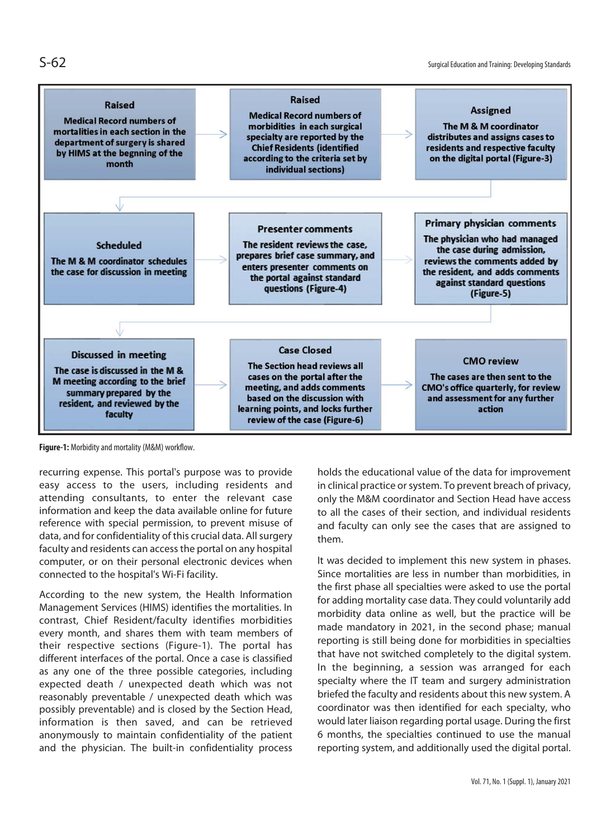

**Figure-1:** Morbidity and mortality (M&M) workflow.

recurring expense. This portal's purpose was to provide easy access to the users, including residents and attending consultants, to enter the relevant case information and keep the data available online for future reference with special permission, to prevent misuse of data, and for confidentiality of this crucial data. All surgery faculty and residents can access the portal on any hospital computer, or on their personal electronic devices when connected to the hospital's Wi-Fi facility.

According to the new system, the Health Information Management Services (HIMS) identifies the mortalities. In contrast, Chief Resident/faculty identifies morbidities every month, and shares them with team members of their respective sections (Figure-1). The portal has different interfaces of the portal. Once a case is classified as any one of the three possible categories, including expected death / unexpected death which was not reasonably preventable / unexpected death which was possibly preventable) and is closed by the Section Head, information is then saved, and can be retrieved anonymously to maintain confidentiality of the patient and the physician. The built-in confidentiality process

holds the educational value of the data for improvement in clinical practice or system. To prevent breach of privacy, only the M&M coordinator and Section Head have access to all the cases of their section, and individual residents and faculty can only see the cases that are assigned to them.

It was decided to implement this new system in phases. Since mortalities are less in number than morbidities, in the first phase all specialties were asked to use the portal for adding mortality case data. They could voluntarily add morbidity data online as well, but the practice will be made mandatory in 2021, in the second phase; manual reporting is still being done for morbidities in specialties that have not switched completely to the digital system. In the beginning, a session was arranged for each specialty where the IT team and surgery administration briefed the faculty and residents about this new system. A coordinator was then identified for each specialty, who would later liaison regarding portal usage. During the first 6 months, the specialties continued to use the manual reporting system, and additionally used the digital portal.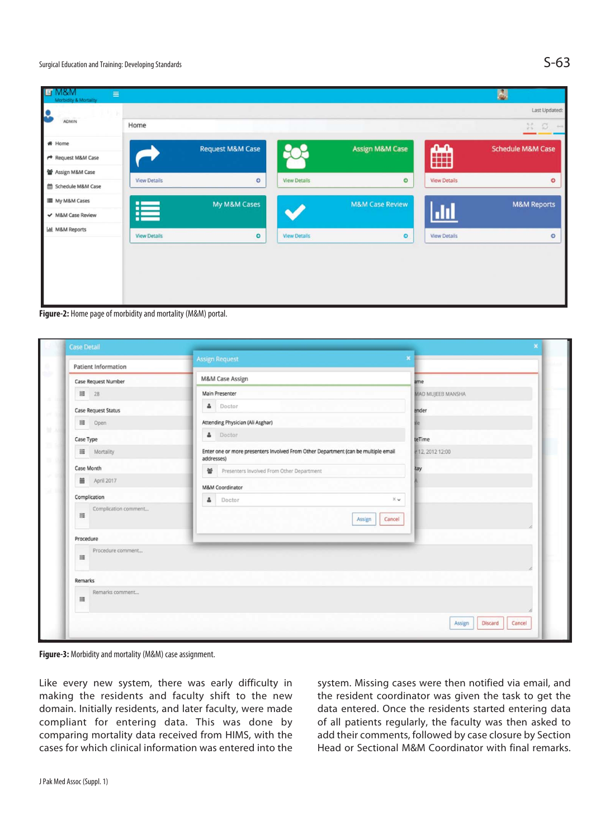| ILI M&M<br>$\equiv$<br>Morbidity & Mortality |                     |                             |                     |                            |                     | 鳳                            |
|----------------------------------------------|---------------------|-----------------------------|---------------------|----------------------------|---------------------|------------------------------|
| Ŀ                                            |                     |                             |                     |                            |                     | Last Updated:                |
| <b>ADMIN</b>                                 | Home                |                             |                     |                            |                     | Bč.<br>O.<br>$\sim$          |
| $#$ Home                                     |                     | <b>Request M&amp;M Case</b> |                     | <b>Assign M&amp;M Case</b> |                     | <b>Schedule M&amp;M Case</b> |
| ← Request M&M Case                           |                     |                             |                     |                            | ∰                   |                              |
| 曾 Assign M&M Case                            | <b>View Details</b> |                             | <b>View Details</b> |                            |                     |                              |
| Schedule M&M Case                            |                     | $\circ$                     |                     | $\circ$                    | <b>View Details</b> | $\circ$                      |
| My M&M Cases                                 |                     | My M&M Cases                |                     | <b>M&amp;M Case Review</b> |                     | <b>M&amp;M Reports</b>       |
| ← M&M Case Review                            | 這                   |                             |                     |                            | $\mathbf{d}$        |                              |
| <b>Lal</b> M&M Reports                       | <b>View Details</b> | $\bullet$                   | <b>View Details</b> | $\circ$                    | <b>View Details</b> | $\circ$                      |
|                                              |                     |                             |                     |                            |                     |                              |
|                                              |                     |                             |                     |                            |                     |                              |
|                                              |                     |                             |                     |                            |                     |                              |
|                                              |                     |                             |                     |                            |                     |                              |

**Figure-2:** Home page of morbidity and mortality (M&M) portal.

| Patient Information        | <b>Assign Request</b>                                                                            | $\pmb{\times}$              |  |  |
|----------------------------|--------------------------------------------------------------------------------------------------|-----------------------------|--|--|
| Case Request Number        | M&M Case Assign                                                                                  | ame                         |  |  |
| 图 28                       | Main Presenter                                                                                   | MAD MUJEEB MANSHA           |  |  |
| <b>Case Request Status</b> | & Doctor                                                                                         | ender                       |  |  |
| III Open                   | Attending Physician (Ali Asghar)                                                                 |                             |  |  |
| Case Type                  | & Doctor                                                                                         | teTime                      |  |  |
| <b>III</b> Mortality       | Enter one or more presenters Involved From Other Department (can be multiple email<br>addresses) | 12, 2012 12:00              |  |  |
| Case Month                 | ₩ Presenters Involved From Other Department                                                      | tay                         |  |  |
| April 2017                 | <b>M&amp;M Coordinator</b>                                                                       |                             |  |  |
| Complication               | <b>A</b> Doctor<br>$\times$ $\times$                                                             |                             |  |  |
| Complication comment<br>罩  | Assign<br>Cancel                                                                                 |                             |  |  |
| Procedure                  |                                                                                                  |                             |  |  |
| Procedure comment<br>謹     |                                                                                                  |                             |  |  |
| Remarks                    |                                                                                                  |                             |  |  |
| Remarks comment<br>靈       |                                                                                                  |                             |  |  |
|                            |                                                                                                  | Discard<br>Cancel<br>Assign |  |  |

**Figure-3:** Morbidity and mortality (M&M) case assignment.

Like every new system, there was early difficulty in making the residents and faculty shift to the new domain. Initially residents, and later faculty, were made compliant for entering data. This was done by comparing mortality data received from HIMS, with the cases for which clinical information was entered into the system. Missing cases were then notified via email, and the resident coordinator was given the task to get the data entered. Once the residents started entering data of all patients regularly, the faculty was then asked to add their comments, followed by case closure by Section Head or Sectional M&M Coordinator with final remarks.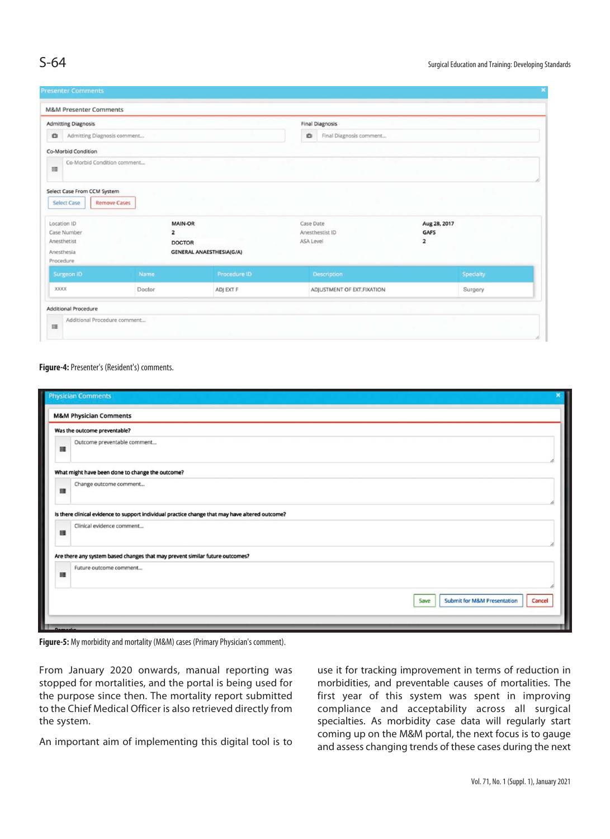|                                                                                                                                                 | <b>M&amp;M Presenter Comments</b> |                                |                                           |                                                 |           |
|-------------------------------------------------------------------------------------------------------------------------------------------------|-----------------------------------|--------------------------------|-------------------------------------------|-------------------------------------------------|-----------|
| <b>Admitting Diagnosis</b>                                                                                                                      |                                   |                                | <b>Final Diagnosis</b>                    |                                                 |           |
| a<br>Admitting Diagnosis comment                                                                                                                |                                   | iÖI<br>Final Diagnosis comment |                                           |                                                 |           |
| <b>Co-Morbid Condition</b>                                                                                                                      |                                   |                                |                                           |                                                 |           |
| Co-Morbid Condition comment<br>$\equiv$                                                                                                         |                                   |                                |                                           |                                                 |           |
| Select Case From CCM System<br><b>Remove Cases</b><br>Select Case                                                                               |                                   |                                |                                           |                                                 |           |
| <b>MAIN-OR</b><br>Location ID<br>Case Number<br>$\overline{2}$<br>Anesthetist<br><b>DOCTOR</b><br><b>GENERAL ANAESTHESIA(G/A)</b><br>Anesthesia |                                   |                                | Case Date<br>Anesthestist ID<br>ASA Level | Aug 28, 2017<br>GAFS<br>$\overline{\mathbf{2}}$ |           |
| Procedure<br>Surgeon ID                                                                                                                         | Name                              | Procedure ID                   | Description                               |                                                 | Specialty |
| XXXX                                                                                                                                            | Doctor                            | ADJ EXT F                      | ADJUSTMENT OF EXT.FIXATION                |                                                 | Surgery   |
|                                                                                                                                                 |                                   |                                |                                           |                                                 |           |

### **Figure-4:** Presenter's (Resident's) comments.

|         | <b>Physician Comments</b>                                                                       |
|---------|-------------------------------------------------------------------------------------------------|
|         | <b>M&amp;M Physician Comments</b>                                                               |
|         | Was the outcome preventable?                                                                    |
| 羅       | Outcome preventable comment                                                                     |
|         | What might have been done to change the outcome?                                                |
| 腰       | Change outcome comment                                                                          |
|         | Is there clinical evidence to support individual practice change that may have altered outcome? |
| 譯       | Clinical evidence comment                                                                       |
|         | Are there any system based changes that may prevent similar future outcomes?                    |
| 謡       | Future outcome comment                                                                          |
|         | <b>Submit for M&amp;M Presentation</b><br>Cancel<br>Save                                        |
| Bearing |                                                                                                 |

**Figure-5:** My morbidity and mortality (M&M) cases (Primary Physician's comment).

From January 2020 onwards, manual reporting was stopped for mortalities, and the portal is being used for the purpose since then. The mortality report submitted to the Chief Medical Officer is also retrieved directly from the system.

An important aim of implementing this digital tool is to

use it for tracking improvement in terms of reduction in morbidities, and preventable causes of mortalities. The first year of this system was spent in improving compliance and acceptability across all surgical specialties. As morbidity case data will regularly start coming up on the M&M portal, the next focus is to gauge and assess changing trends of these cases during the next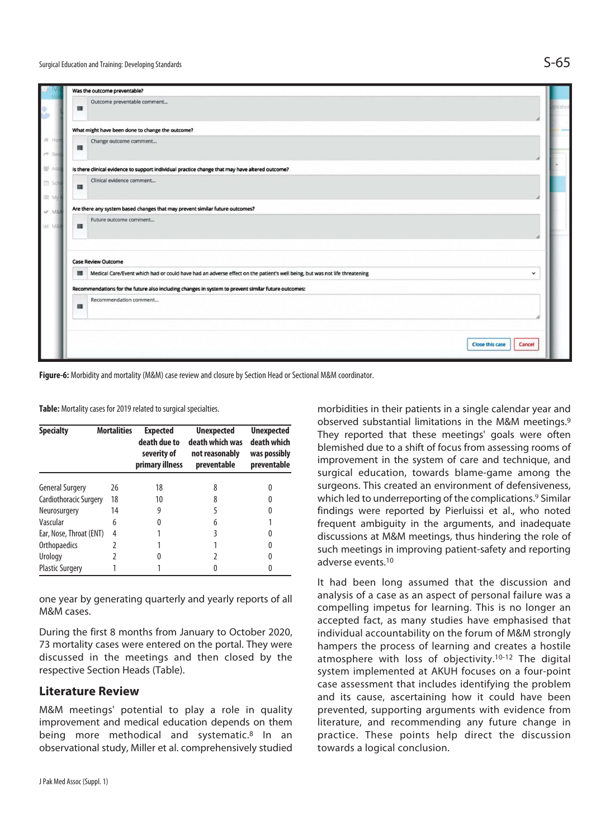

**Figure-6:** Morbidity and mortality (M&M) case review and closure by Section Head or Sectional M&M coordinator.

**Table:** Mortality cases for 2019 related to surgical specialties.

| <b>Specialty</b>        | <b>Mortalities</b> | <b>Expected</b><br>death due to<br>severity of<br>primary illness | <b>Unexpected</b><br>death which was<br>not reasonably<br>preventable | <b>Unexpected</b><br>death which<br>was possibly<br>preventable |
|-------------------------|--------------------|-------------------------------------------------------------------|-----------------------------------------------------------------------|-----------------------------------------------------------------|
| <b>General Surgery</b>  | 26                 | 18                                                                | 8                                                                     | 0                                                               |
| Cardiothoracic Surgery  | 18                 | 10                                                                | 8                                                                     |                                                                 |
| Neurosurgery            | 14                 | 9                                                                 | 5                                                                     |                                                                 |
| Vascular                | 6                  | 0                                                                 | 6                                                                     |                                                                 |
| Ear, Nose, Throat (ENT) | 4                  |                                                                   | 3                                                                     |                                                                 |
| Orthopaedics            | 2                  |                                                                   |                                                                       | 0                                                               |
| Urology                 |                    |                                                                   |                                                                       |                                                                 |
| <b>Plastic Surgery</b>  |                    |                                                                   |                                                                       |                                                                 |

one year by generating quarterly and yearly reports of all M&M cases.

During the first 8 months from January to October 2020, 73 mortality cases were entered on the portal. They were discussed in the meetings and then closed by the respective Section Heads (Table).

### **Literature Review**

M&M meetings' potential to play a role in quality improvement and medical education depends on them being more methodical and systematic.<sup>8</sup> In an observational study, Miller et al. comprehensively studied

morbidities in their patients in a single calendar year and observed substantial limitations in the M&M meetings.9 They reported that these meetings' goals were often blemished due to a shift of focus from assessing rooms of improvement in the system of care and technique, and surgical education, towards blame-game among the surgeons. This created an environment of defensiveness, which led to underreporting of the complications.<sup>9</sup> Similar findings were reported by Pierluissi et al., who noted frequent ambiguity in the arguments, and inadequate discussions at M&M meetings, thus hindering the role of such meetings in improving patient-safety and reporting adverse events.10

It had been long assumed that the discussion and analysis of a case as an aspect of personal failure was a compelling impetus for learning. This is no longer an accepted fact, as many studies have emphasised that individual accountability on the forum of M&M strongly hampers the process of learning and creates a hostile atmosphere with loss of objectivity.10-12 The digital system implemented at AKUH focuses on a four-point case assessment that includes identifying the problem and its cause, ascertaining how it could have been prevented, supporting arguments with evidence from literature, and recommending any future change in practice. These points help direct the discussion towards a logical conclusion.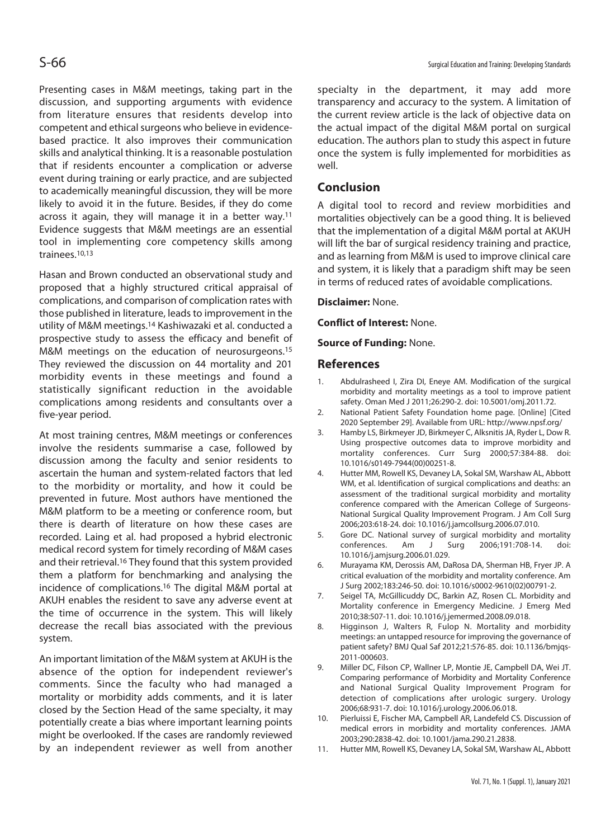Presenting cases in M&M meetings, taking part in the discussion, and supporting arguments with evidence from literature ensures that residents develop into competent and ethical surgeons who believe in evidencebased practice. It also improves their communication skills and analytical thinking. It is a reasonable postulation that if residents encounter a complication or adverse event during training or early practice, and are subjected to academically meaningful discussion, they will be more likely to avoid it in the future. Besides, if they do come across it again, they will manage it in a better way.11 Evidence suggests that M&M meetings are an essential tool in implementing core competency skills among trainees.10,13

Hasan and Brown conducted an observational study and proposed that a highly structured critical appraisal of complications, and comparison of complication rates with those published in literature, leads to improvement in the utility of M&M meetings.14 Kashiwazaki et al. conducted a prospective study to assess the efficacy and benefit of M&M meetings on the education of neurosurgeons.<sup>15</sup> They reviewed the discussion on 44 mortality and 201 morbidity events in these meetings and found a statistically significant reduction in the avoidable complications among residents and consultants over a five-year period.

At most training centres, M&M meetings or conferences involve the residents summarise a case, followed by discussion among the faculty and senior residents to ascertain the human and system-related factors that led to the morbidity or mortality, and how it could be prevented in future. Most authors have mentioned the M&M platform to be a meeting or conference room, but there is dearth of literature on how these cases are recorded. Laing et al. had proposed a hybrid electronic medical record system for timely recording of M&M cases and their retrieval.<sup>16</sup> They found that this system provided them a platform for benchmarking and analysing the incidence of complications.16 The digital M&M portal at AKUH enables the resident to save any adverse event at the time of occurrence in the system. This will likely decrease the recall bias associated with the previous system.

An important limitation of the M&M system at AKUH is the absence of the option for independent reviewer's comments. Since the faculty who had managed a mortality or morbidity adds comments, and it is later closed by the Section Head of the same specialty, it may potentially create a bias where important learning points might be overlooked. If the cases are randomly reviewed by an independent reviewer as well from another specialty in the department, it may add more transparency and accuracy to the system. A limitation of the current review article is the lack of objective data on the actual impact of the digital M&M portal on surgical education. The authors plan to study this aspect in future once the system is fully implemented for morbidities as well.

## **Conclusion**

A digital tool to record and review morbidities and mortalities objectively can be a good thing. It is believed that the implementation of a digital M&M portal at AKUH will lift the bar of surgical residency training and practice, and as learning from M&M is used to improve clinical care and system, it is likely that a paradigm shift may be seen in terms of reduced rates of avoidable complications.

### **Disclaimer:** None.

**Conflict of Interest:** None.

### **Source of Funding:** None.

### **References**

- 1. Abdulrasheed I, Zira DI, Eneye AM. Modification of the surgical morbidity and mortality meetings as a tool to improve patient safety. Oman Med J 2011;26:290-2. doi: 10.5001/omj.2011.72.
- 2. National Patient Safety Foundation home page. [Online] [Cited 2020 September 29]. Available from URL: http://www.npsf.org/
- 3. Hamby LS, Birkmeyer JD, Birkmeyer C, Alksnitis JA, Ryder L, Dow R. Using prospective outcomes data to improve morbidity and mortality conferences. Curr Surg 2000;57:384-88. doi: 10.1016/s0149-7944(00)00251-8.
- 4. Hutter MM, Rowell KS, Devaney LA, Sokal SM, Warshaw AL, Abbott WM, et al. Identification of surgical complications and deaths: an assessment of the traditional surgical morbidity and mortality conference compared with the American College of Surgeons-National Surgical Quality Improvement Program. J Am Coll Surg 2006;203:618-24. doi: 10.1016/j.jamcollsurg.2006.07.010.
- 5. Gore DC. National survey of surgical morbidity and mortality conferences. Am J Surg 2006;191:708-14. doi: 10.1016/j.amjsurg.2006.01.029.
- 6. Murayama KM, Derossis AM, DaRosa DA, Sherman HB, Fryer JP. A critical evaluation of the morbidity and mortality conference. Am J Surg 2002;183:246-50. doi: 10.1016/s0002-9610(02)00791-2.
- 7. Seigel TA, McGillicuddy DC, Barkin AZ, Rosen CL. Morbidity and Mortality conference in Emergency Medicine. J Emerg Med 2010;38:507-11. doi: 10.1016/j.jemermed.2008.09.018.
- 8. Higginson J, Walters R, Fulop N. Mortality and morbidity meetings: an untapped resource for improving the governance of patient safety? BMJ Qual Saf 2012;21:576-85. doi: 10.1136/bmjqs-2011-000603.
- 9. Miller DC, Filson CP, Wallner LP, Montie JE, Campbell DA, Wei JT. Comparing performance of Morbidity and Mortality Conference and National Surgical Quality Improvement Program for detection of complications after urologic surgery. Urology 2006;68:931-7. doi: 10.1016/j.urology.2006.06.018.
- 10. Pierluissi E, Fischer MA, Campbell AR, Landefeld CS. Discussion of medical errors in morbidity and mortality conferences. JAMA 2003;290:2838-42. doi: 10.1001/jama.290.21.2838.
- 11. Hutter MM, Rowell KS, Devaney LA, Sokal SM, Warshaw AL, Abbott